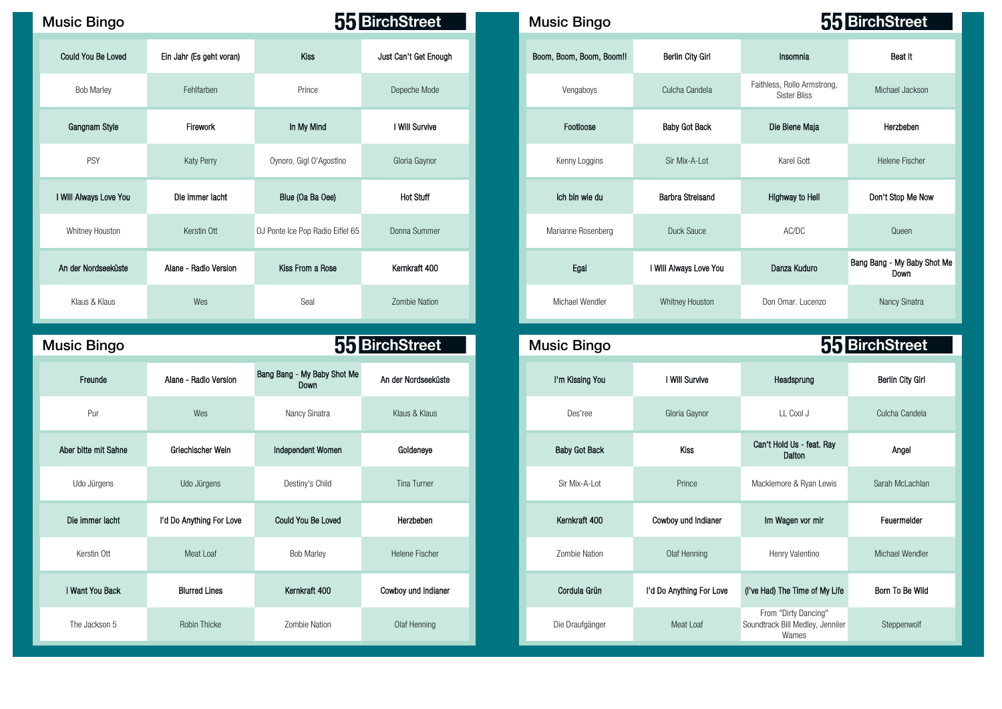| <b>Music Bingo</b>     |                          |                                  | 55 BirchStreet        | <b>Music Bingo</b>       |                         |                                                    | 55 BirchStreet                 |
|------------------------|--------------------------|----------------------------------|-----------------------|--------------------------|-------------------------|----------------------------------------------------|--------------------------------|
| Could You Be Loved     | Ein Jahr (Es geht voran) | Kiss                             | Just Can't Get Enough | Boom, Boom, Boom, Boom!! | <b>Berlin City Girl</b> | Insomnia                                           | Beat It                        |
| <b>Bob Marley</b>      | Fehlfarben               | Prince                           | Depeche Mode          | Vengaboys                | Culcha Candela          | Faithless, Rollo Armstrong,<br><b>Sister Bliss</b> | Michael Jackson                |
| Gangnam Style          | Firework                 | In My Mind                       | I Will Survive        | Footloose                | <b>Baby Got Back</b>    | Die Biene Maja                                     | Herzbeben                      |
| PSY                    | Katy Perry               | Oynoro, Gigl O'Agostino          | Gloria Gaynor         | Kenny Loggins            | Sir Mix-A-Lot           | Karel Gott                                         | <b>Helene Fischer</b>          |
| I Will Always Love You | Die immer lacht          | Blue (Oa Ba Oee)                 | <b>Hot Stuff</b>      | Ich bin wie du           | Barbra Streisand        | Highway to Hell                                    | Don't Stop Me Now              |
| Whitney Houston        | Kerstin Ott              | OJ Ponte Ice Pop Radio Eiflel 65 | Donna Summer          | Marianne Rosenberg       | Duck Sauce              | AC/DC                                              | Queen                          |
| An der Nordseeküste    | Alane - Radio Version    | Kiss From a Rose                 | Kernkraft 400         | Egal                     | I Will Always Love You  | Danza Kuduro                                       | Bang Bang - My Baby Sh<br>Down |
| Klaus & Klaus          | Wes                      | Seal                             | Zombie Nation         | Michael Wendler          | Whitney Houston         | Don Omar. Lucenzo                                  | Nancy Sinatra                  |

Music Bingo **Music Bingo Music Bingo Music Bingo Music Bingo Music Bingo Music Bingo** 

| Freunde              | Alane - Radio Version    | Bang Bang - My Baby Shot Me<br>Down | An der Nordseeküste |
|----------------------|--------------------------|-------------------------------------|---------------------|
| Pur                  | Wes                      | Nancy Sinatra                       | Klaus & Klaus       |
| Aber bitte mit Sahne | Griechischer Wein        | Independent Women                   | Goldeneye           |
| Udo Jürgens          | Udo Jürgens              | Destiny's Child                     | Tina Turner         |
| Die immer lacht      | I'd Do Anything For Love | <b>Could You Be Loved</b>           | Herzbeben           |
| Kerstin Ott          | Meat Loaf                | <b>Bob Marley</b>                   | Helene Fischer      |
| I Want You Back      | <b>Blurred Lines</b>     | Kernkraft 400                       | Cowboy und Indianer |
| The Jackson 5        | Robin Thicke             | Zombie Nation                       | Olaf Henning        |

| usic Bingo           |                          |                                  |                       | 55 BirchStreet<br><b>Music Bingo</b> |                          |                         |                                                    |                                     |
|----------------------|--------------------------|----------------------------------|-----------------------|--------------------------------------|--------------------------|-------------------------|----------------------------------------------------|-------------------------------------|
| Could You Be Loved   | Ein Jahr (Es geht voran) | Kiss                             | Just Can't Get Enough |                                      | Boom, Boom, Boom, Boom!! | <b>Berlin City Girl</b> | Insomnia                                           | Beat It                             |
| <b>Bob Marley</b>    | Fehlfarben               | Prince                           | Depeche Mode          |                                      | Vengaboys                | Culcha Candela          | Faithless, Rollo Armstrong,<br><b>Sister Bliss</b> | Michael Jackson                     |
| Gangnam Style        | Firework                 | In My Mind                       | I Will Survive        |                                      | Footloose                | <b>Baby Got Back</b>    | Die Biene Maja                                     | Herzbeben                           |
| PSY                  | <b>Katy Perry</b>        | Oynoro, Gigl O'AgostIno          | Gloria Gaynor         |                                      | Kenny Loggins            | Sir Mix-A-Lot           | Karel Gott                                         | Helene Fischer                      |
| Will Always Love You | Die immer lacht          | Blue (Oa Ba Oee)                 | <b>Hot Stuff</b>      |                                      | Ich bin wie du           | <b>Barbra Streisand</b> | Highway to Hell                                    | Don't Stop Me Now                   |
| Whitney Houston      | Kerstin Ott              | OJ Ponte Ice Pop Radio Eiflel 65 | Donna Summer          |                                      | Marianne Rosenberg       | Duck Sauce              | AC/DC                                              | Queen                               |
| An der Nordseeküste  | Alane - Radio Version    | Kiss From a Rose                 | Kernkraft 400         |                                      | Egal                     | I Will Always Love You  | Danza Kuduro                                       | Bang Bang - My Baby Shot Me<br>Down |
| Klaus & Klaus        | Wes                      | Seal                             | <b>Zombie Nation</b>  |                                      | Michael Wendler          | Whitney Houston         | Don Omar. Lucenzo                                  | Nancy Sinatra                       |

| <b>Bingo</b>    |                          |                                            | 55 BirchStreet      | <b>Music Bingo</b> |                      |                          |                                                                   | 55 BirchStreet   |
|-----------------|--------------------------|--------------------------------------------|---------------------|--------------------|----------------------|--------------------------|-------------------------------------------------------------------|------------------|
| Freunde         | Alane - Radio Version    | Bang Bang - My Baby Shot Me<br><b>Down</b> | An der Nordseeküste |                    | I'm Kissing You      | I Will Survive           | Headsprung                                                        | Berlin City Girl |
| Pur             | Wes                      | Nancy Sinatra                              | Klaus & Klaus       |                    | Des'ree              | Gloria Gaynor            | LL Cool J                                                         | Culcha Candela   |
| bitte mit Sahne | Griechischer Wein        | Independent Women                          | Goldeneye           |                    | <b>Baby Got Back</b> | Kiss                     | Can't Hold Us - feat. Ray<br>Dalton                               | Angel            |
| ldo Jürgens     | Udo Jürgens              | Destiny's Child                            | Tina Turner         |                    | Sir Mix-A-Lot        | Prince                   | Macklemore & Ryan Lewis                                           | Sarah McLachlan  |
| immer lacht     | I'd Do Anything For Love | Could You Be Loved                         | Herzbeben           |                    | Kernkraft 400        | Cowboy und Indianer      | Im Wagen vor mir                                                  | Feuermelder      |
| Kerstin Ott     | Meat Loaf                | <b>Bob Marley</b>                          | Helene Fischer      |                    | Zombie Nation        | Olaf Henning             | Henry Valentino                                                   | Michael Wendler  |
| ant You Back    | <b>Blurred Lines</b>     | Kernkraft 400                              | Cowboy und Indianer |                    | Cordula Grün         | I'd Do Anything For Love | (I've Had) The Time of My Life                                    | Born To Be Wild  |
| ie Jackson 5    | Robin Thicke             | Zombie Nation                              | Olaf Henning        |                    | Die Draufgänger      | Meat Loaf                | From "Dirty Dancing"<br>Soundtrack Bill Medley, Jenniler<br>Wames | Steppenwolf      |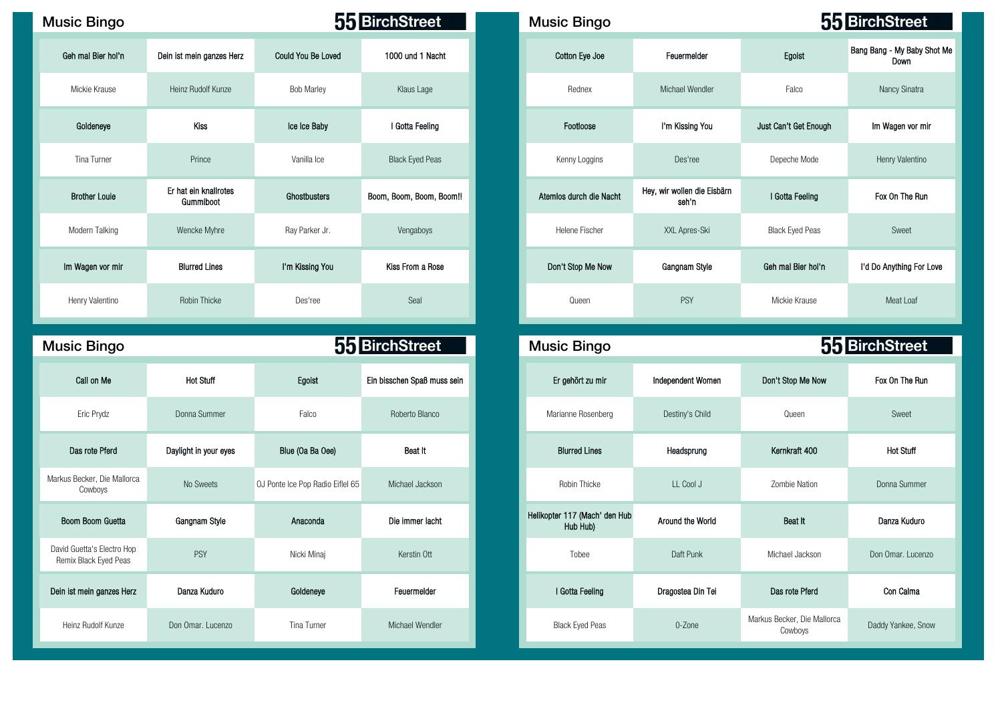| <b>Music Bingo</b>   |                                    |                           | 55 BirchStreet           | <b>Music Bingo</b>      |                                      |                        | 55 BirchStree              |
|----------------------|------------------------------------|---------------------------|--------------------------|-------------------------|--------------------------------------|------------------------|----------------------------|
| Geh mal Bier hol'n   | Dein ist mein ganzes Herz          | <b>Could You Be Loved</b> | 1000 und 1 Nacht         | Cotton Eye Joe          | Feuermelder                          | Egoist                 | Bang Bang - My Bal<br>Down |
| Mickie Krause        | Heinz Rudolf Kunze                 | <b>Bob Marley</b>         | Klaus Lage               | Rednex                  | Michael Wendler                      | Falco                  | <b>Nancy Sinat</b>         |
| Goldeneye            | Kiss                               | Ice Ice Baby              | I Gotta Feeling          | Footloose               | I'm Kissing You                      | Just Can't Get Enough  | Im Wagen vor               |
| Tina Turner          | Prince                             | Vanilla Ice               | <b>Black Eyed Peas</b>   | Kenny Loggins           | Des'ree                              | Depeche Mode           | <b>Henry Valent</b>        |
| <b>Brother Louie</b> | Er hat ein knallrotes<br>Gummiboot | Ghostbusters              | Boom, Boom, Boom, Boom!! | Atemios durch die Nacht | Hey, wir wollen die Eisbärn<br>seh'n | I Gotta Feeling        | Fox On The I               |
| Modern Talking       | Wencke Myhre                       | Ray Parker Jr.            | Vengaboys                | Helene Fischer          | XXL Apres-Ski                        | <b>Black Eyed Peas</b> | Sweet                      |
| Im Wagen vor mir     | <b>Blurred Lines</b>               | I'm Kissing You           | Kiss From a Rose         | Don't Stop Me Now       | Gangnam Style                        | Geh mal Bier hol'n     | I'd Do Anything F          |
| Henry Valentino      | Robin Thicke                       | Des'ree                   | Seal                     | Queen                   | <b>PSY</b>                           | Mickie Krause          | Meat Loat                  |

| <b>Music Bingo</b>                                  |                       |                                  | 55 BirchStreet              | <b>Music Bingo</b>                        |                   |                                        | 55 BirchStreet     |
|-----------------------------------------------------|-----------------------|----------------------------------|-----------------------------|-------------------------------------------|-------------------|----------------------------------------|--------------------|
| Call on Me                                          | <b>Hot Stuff</b>      | Egoist                           | Ein bisschen Spaß muss sein | Er gehört zu mir                          | Independent Women | Don't Stop Me Now                      | Fox On The Run     |
| Eric Prydz                                          | Donna Summer          | Falco                            | Roberto Blanco              | Marianne Rosenberg                        | Destiny's Child   | Queen                                  | Sweet              |
| Das rote Pferd                                      | Daylight in your eyes | Blue (Oa Ba Oee)                 | Beat It                     | <b>Blurred Lines</b>                      | Headsprung        | Kernkraft 400                          | <b>Hot Stuff</b>   |
| Markus Becker, Die Mallorca<br>Cowboys              | No Sweets             | OJ Ponte Ice Pop Radio Eiflel 65 | Michael Jackson             | Robin Thicke                              | LL Cool J         | Zombie Nation                          | Donna Summer       |
| Boom Boom Guetta                                    | Gangnam Style         | Anaconda                         | Die immer lacht             | Helikopter 117 (Mach' den Hub<br>Hub Hub) | Around the World  | Beat It                                | Danza Kuduro       |
| David Guetta's Electro Hop<br>Remix Black Eyed Peas | PSY                   | Nicki Minai                      | Kerstin Ott                 | Tobee                                     | Daft Punk         | Michael Jackson                        | Don Omar, Lucenzo  |
| Dein ist mein ganzes Herz                           | Danza Kuduro          | Goldeneye                        | Feuermelder                 | I Gotta Feeling                           | Dragostea Din Tei | Das rote Pferd                         | Con Calma          |
| Heinz Rudolf Kunze                                  | Don Omar, Lucenzo     | Tina Turner                      | Michael Wendler             | <b>Black Eyed Peas</b>                    | 0-Zone            | Markus Becker, Die Mallorca<br>Cowboys | Daddy Yankee, Snov |

| sic Bingo            |                                    |                           | 55 BirchStreet           | <b>Music Bingo</b>      |                                      |                        | 55 BirchStreet                      |
|----------------------|------------------------------------|---------------------------|--------------------------|-------------------------|--------------------------------------|------------------------|-------------------------------------|
| Geh mal Bier hol'n   | Dein ist mein ganzes Herz          | <b>Could You Be Loved</b> | 1000 und 1 Nacht         | Cotton Eye Joe          | Feuermelder                          | Egoist                 | Bang Bang - My Baby Shot Me<br>Down |
| Mickie Krause        | Heinz Rudolf Kunze                 | <b>Bob Marley</b>         | Klaus Lage               | Rednex                  | Michael Wendler                      | Falco                  | Nancy Sinatra                       |
| Goldeneye            | <b>Kiss</b>                        | Ice Ice Baby              | I Gotta Feeling          | Footloose               | I'm Kissing You                      | Just Can't Get Enough  | Im Wagen vor mir                    |
| Tina Turner          | Prince                             | Vanilla Ice               | <b>Black Eyed Peas</b>   | Kenny Loggins           | Des'ree                              | Depeche Mode           | Henry Valentino                     |
| <b>Brother Louie</b> | Er hat ein knallrotes<br>Gummiboot | Ghostbusters              | Boom, Boom, Boom, Boom!! | Atemios durch die Nacht | Hey, wir wollen die Eisbärn<br>seh'n | I Gotta Feeling        | Fox On The Run                      |
| Modern Talking       | Wencke Myhre                       | Ray Parker Jr.            | Vengaboys                | Helene Fischer          | XXL Apres-Ski                        | <b>Black Eyed Peas</b> | Sweet                               |
| Im Wagen vor mir     | <b>Blurred Lines</b>               | I'm Kissing You           | Kiss From a Rose         | Don't Stop Me Now       | Gangnam Style                        | Geh mal Bier hol'n     | I'd Do Anything For Love            |
| Henry Valentino      | Robin Thicke                       | Des'ree                   | Seal                     | Queen                   | <b>PSY</b>                           | Mickie Krause          | Meat Loaf                           |

| c Bingo                                       |                       |                                  | 55 BirchStreet              | <b>Music Bingo</b>                        |                   | 55 BirchStreet                         |  |
|-----------------------------------------------|-----------------------|----------------------------------|-----------------------------|-------------------------------------------|-------------------|----------------------------------------|--|
| Call on Me                                    | <b>Hot Stuff</b>      | Egoist                           | Ein bisschen Spaß muss sein | Er gehört zu mir                          | Independent Women | Don't Stop Me Now                      |  |
| Eric Prydz                                    | Donna Summer          | Falco                            | Roberto Blanco              | Marianne Rosenberg                        | Destiny's Child   | Queen                                  |  |
| as rote Pferd                                 | Daylight in your eyes | Blue (Oa Ba Oee)                 | Beat It                     | <b>Blurred Lines</b>                      | Headsprung        | Kernkraft 400                          |  |
| Becker, Die Mallorca<br>Cowboys               | No Sweets             | OJ Ponte Ice Pop Radio Eiflel 65 | Michael Jackson             | Robin Thicke                              | LL Cool J         | Zombie Nation                          |  |
| n Boom Guetta                                 | Gangnam Style         | Anaconda                         | Die immer lacht             | Helikopter 117 (Mach' den Hub<br>Hub Hub) | Around the World  | Beat It                                |  |
| uetta's Electro Hop<br><b>Black Eyed Peas</b> | <b>PSY</b>            | Nicki Minaj                      | Kerstin Ott                 | Tobee                                     | Daft Punk         | Michael Jackson                        |  |
| mein ganzes Herz                              | Danza Kuduro          | Goldeneye                        | Feuermelder                 | I Gotta Feeling                           | Dragostea Din Tei | Das rote Pferd                         |  |
| iz Rudolf Kunze                               | Don Omar. Lucenzo     | Tina Turner                      | Michael Wendler             | <b>Black Eyed Peas</b>                    | 0-Zone            | Markus Becker, Die Mallorca<br>Cowboys |  |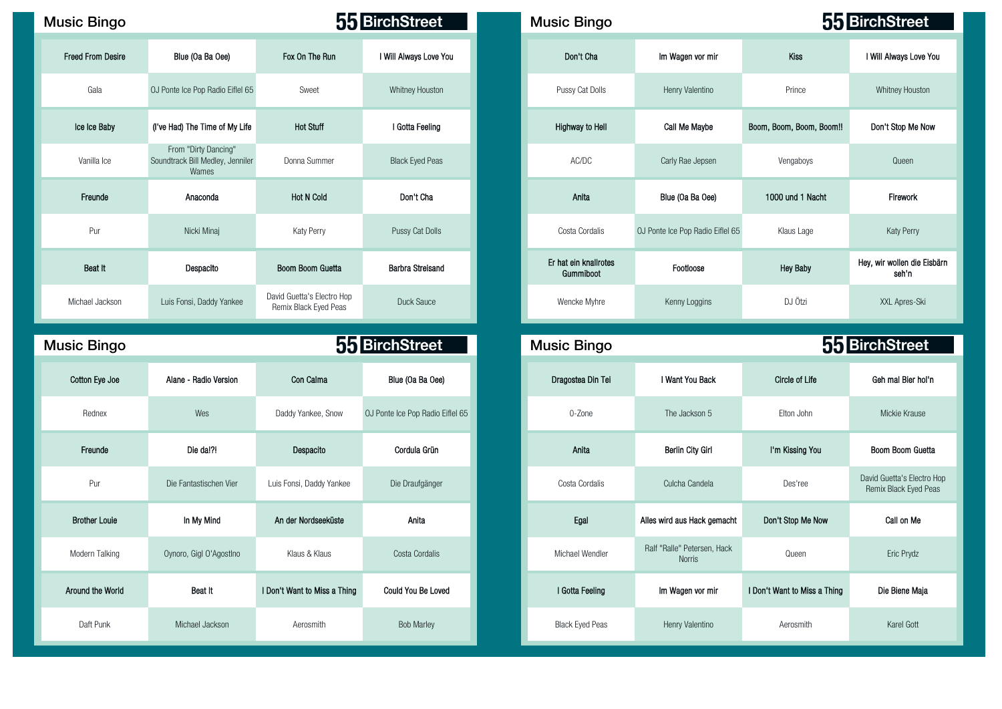| <b>Music Bingo</b>       |                                                                   |                                                     | 55 BirchStreet                   | <b>Music Bingo</b>                 |                                              | 55 BirchStreet           |                         |
|--------------------------|-------------------------------------------------------------------|-----------------------------------------------------|----------------------------------|------------------------------------|----------------------------------------------|--------------------------|-------------------------|
| <b>Freed From Desire</b> | Blue (Oa Ba Oee)                                                  | Fox On The Run                                      | I Will Always Love You           | Don't Cha                          | Im Wagen vor mir                             | <b>Kiss</b>              |                         |
| Gala                     | OJ Ponte Ice Pop Radio Eiflel 65                                  | Sweet                                               | Whitney Houston                  | Pussy Cat Dolls                    | Henry Valentino                              | Prince                   |                         |
| Ice Ice Baby             | (I've Had) The Time of My Life                                    | <b>Hot Stuff</b>                                    | I Gotta Feeling                  | Highway to Hell                    | Call Me Maybe                                | Boom, Boom, Boom, Boom!! |                         |
| Vanilla Ice              | From "Dirty Dancing"<br>Soundtrack Bill Medley, Jenniler<br>Wames | Donna Summer                                        | <b>Black Eyed Peas</b>           | AC/DC                              | Carly Rae Jepsen                             | Vengaboys                |                         |
| Freunde                  | Anaconda                                                          | <b>Hot N Cold</b>                                   | Don't Cha                        | Anita                              | Blue (Oa Ba Oee)                             | 1000 und 1 Nacht         |                         |
| Pur                      | Nicki Minaj                                                       | Katy Perry                                          | Pussy Cat Dolls                  | Costa Cordalis                     | OJ Ponte Ice Pop Radio Eiflel 65             | Klaus Lage               |                         |
| Beat It                  | Despacito                                                         | Boom Boom Guetta                                    | <b>Barbra Streisand</b>          | Er hat ein knallrotes<br>Gummiboot | Footloose                                    | <b>Hey Baby</b>          | Hey, wir wollen die Eis |
| Michael Jackson          | Luis Fonsi, Daddy Yankee                                          | David Guetta's Electro Hop<br>Remix Black Eyed Peas | Duck Sauce                       | Wencke Myhre                       | Kenny Loggins                                | DJ Ötzi                  |                         |
| <b>Music Bingo</b>       |                                                                   |                                                     | 55 BirchStreet                   | <b>Music Bingo</b>                 |                                              | 55 BirchStreet           |                         |
| Cotton Eye Joe           | Alane - Radio Version                                             | Con Calma                                           | Blue (Oa Ba Oee)                 | Dragostea Din Tei                  | I Want You Back                              | <b>Circle of Life</b>    |                         |
| Rednex                   | Wes                                                               | Daddy Yankee, Snow                                  | OJ Ponte Ice Pop Radio Eiflel 65 | 0-Zone                             | The Jackson 5                                | Elton John               |                         |
| Freunde                  | Die da!?!                                                         | Despacito                                           | Cordula Grün                     | Anita                              | <b>Berlin City Girl</b>                      | I'm Kissing You          |                         |
| Pur                      | Die Fantastischen Vier                                            | Luis Fonsi, Daddy Yankee                            | Die Draufgänger                  | Costa Cordalis                     | Culcha Candela                               | Des'ree                  |                         |
| <b>Brother Louie</b>     | In My Mind                                                        | An der Nordseeküste                                 | Anita                            | Egal                               | Alles wird aus Hack gemacht                  | Don't Stop Me Now        |                         |
| Modern Talking           | Oynoro, Gigl O'AgostIno                                           | Klaus & Klaus                                       | Costa Cordalis                   | Michael Wendler                    | Ralf "Ralle" Petersen, Hack<br><b>Norris</b> | Queen                    |                         |

| sic Bingo         |                                                                   |                                                     | 55 BirchStreet          |  | <b>Music Bingo</b>                 |                                  |                          | 55 BirchStreet                       |  |  |  |
|-------------------|-------------------------------------------------------------------|-----------------------------------------------------|-------------------------|--|------------------------------------|----------------------------------|--------------------------|--------------------------------------|--|--|--|
| Freed From Desire | Blue (Oa Ba Oee)                                                  | Fox On The Run                                      | I Will Always Love You  |  | Don't Cha                          | Im Wagen vor mir                 | Kiss                     | I Will Always Love You               |  |  |  |
| Gala              | OJ Ponte Ice Pop Radio Eiflel 65                                  | Sweet                                               | <b>Whitney Houston</b>  |  | Pussy Cat Dolls                    | Henry Valentino                  | Prince                   | Whitney Houston                      |  |  |  |
| Ice Ice Baby      | (I've Had) The Time of My Life                                    | <b>Hot Stuff</b>                                    | I Gotta Feeling         |  | <b>Highway to Hell</b>             | Call Me Maybe                    | Boom, Boom, Boom, Boom!! | Don't Stop Me Now                    |  |  |  |
| Vanilla Ice       | From "Dirty Dancing"<br>Soundtrack Bill Medley, Jenniler<br>Wames | Donna Summer                                        | <b>Black Eyed Peas</b>  |  | AC/DC                              | Carly Rae Jepsen                 | Vengaboys                | Queen                                |  |  |  |
| Freunde           | Anaconda                                                          | <b>Hot N Cold</b>                                   | Don't Cha               |  | Anita                              | Blue (Oa Ba Oee)                 | 1000 und 1 Nacht         | Firework                             |  |  |  |
| Pur               | Nicki Minaj                                                       | Katy Perry                                          | Pussy Cat Dolls         |  | Costa Cordalis                     | OJ Ponte Ice Pop Radio Eiflel 65 | Klaus Lage               | <b>Katy Perry</b>                    |  |  |  |
| Beat It           | Despacito                                                         | Boom Boom Guetta                                    | <b>Barbra Streisand</b> |  | Er hat ein knallrotes<br>Gummiboot | Footloose                        | <b>Hey Baby</b>          | Hey, wir wollen die Eisbärn<br>seh'n |  |  |  |
| Michael Jackson   | Luis Fonsi, Daddy Yankee                                          | David Guetta's Electro Hop<br>Remix Black Eyed Peas | Duck Sauce              |  | Wencke Myhre                       | Kenny Loggins                    | DJ Ötzi                  | XXL Apres-Ski                        |  |  |  |
| cio Dinao         | 55 RirchStreet<br>55 RirchStreet<br>Music Ringo                   |                                                     |                         |  |                                    |                                  |                          |                                      |  |  |  |

| Con Calma<br>Blue (Oa Ba Oee)<br>Alane - Radio Version<br>I Want You Back<br>Circle of Life<br>Dragostea Din Tei<br>Wes<br>Daddy Yankee, Snow<br>OJ Ponte Ice Pop Radio Eiflel 65<br>0-Zone<br>Elton John<br>The Jackson 5<br>Cordula Grün<br>Anita<br>Die da!?!<br><b>Berlin City Girl</b><br>I'm Kissing You<br>Despacito<br>Luis Fonsi, Daddy Yankee<br>Costa Cordalis<br>Des'ree<br>Die Fantastischen Vier<br>Die Draufgänger<br>Culcha Candela<br>Anita<br>In My Mind<br>Egal<br>An der Nordseeküste<br>Alles wird aus Hack gemacht<br>Ralf "Ralle" Petersen, Hack<br>Michael Wendler<br>Klaus & Klaus<br>Costa Cordalis<br>Oynoro, Gigl O'Agostino<br>Queen<br><b>Norris</b><br>Beat It<br>Im Wagen vor mir<br>I Don't Want to Miss a Thing<br>Could You Be Loved<br>I Gotta Feeling<br><b>Bob Marley</b><br><b>Black Eyed Peas</b><br>Aerosmith<br>Michael Jackson<br>Henry Valentino<br>Aerosmith | <b>Bingo</b>  |  | 55 BirchStreet | <b>Music Bingo</b> | 55 BirchStreet               |  |
|-----------------------------------------------------------------------------------------------------------------------------------------------------------------------------------------------------------------------------------------------------------------------------------------------------------------------------------------------------------------------------------------------------------------------------------------------------------------------------------------------------------------------------------------------------------------------------------------------------------------------------------------------------------------------------------------------------------------------------------------------------------------------------------------------------------------------------------------------------------------------------------------------------------|---------------|--|----------------|--------------------|------------------------------|--|
|                                                                                                                                                                                                                                                                                                                                                                                                                                                                                                                                                                                                                                                                                                                                                                                                                                                                                                           | tton Eye Joe  |  |                |                    |                              |  |
|                                                                                                                                                                                                                                                                                                                                                                                                                                                                                                                                                                                                                                                                                                                                                                                                                                                                                                           | Rednex        |  |                |                    |                              |  |
|                                                                                                                                                                                                                                                                                                                                                                                                                                                                                                                                                                                                                                                                                                                                                                                                                                                                                                           | Freunde       |  |                |                    |                              |  |
|                                                                                                                                                                                                                                                                                                                                                                                                                                                                                                                                                                                                                                                                                                                                                                                                                                                                                                           | Pur           |  |                |                    |                              |  |
|                                                                                                                                                                                                                                                                                                                                                                                                                                                                                                                                                                                                                                                                                                                                                                                                                                                                                                           | other Louie   |  |                |                    | Don't Stop Me Now            |  |
|                                                                                                                                                                                                                                                                                                                                                                                                                                                                                                                                                                                                                                                                                                                                                                                                                                                                                                           | dern Talking  |  |                |                    |                              |  |
|                                                                                                                                                                                                                                                                                                                                                                                                                                                                                                                                                                                                                                                                                                                                                                                                                                                                                                           | ind the World |  |                |                    | I Don't Want to Miss a Thing |  |
|                                                                                                                                                                                                                                                                                                                                                                                                                                                                                                                                                                                                                                                                                                                                                                                                                                                                                                           | Daft Punk     |  |                |                    |                              |  |